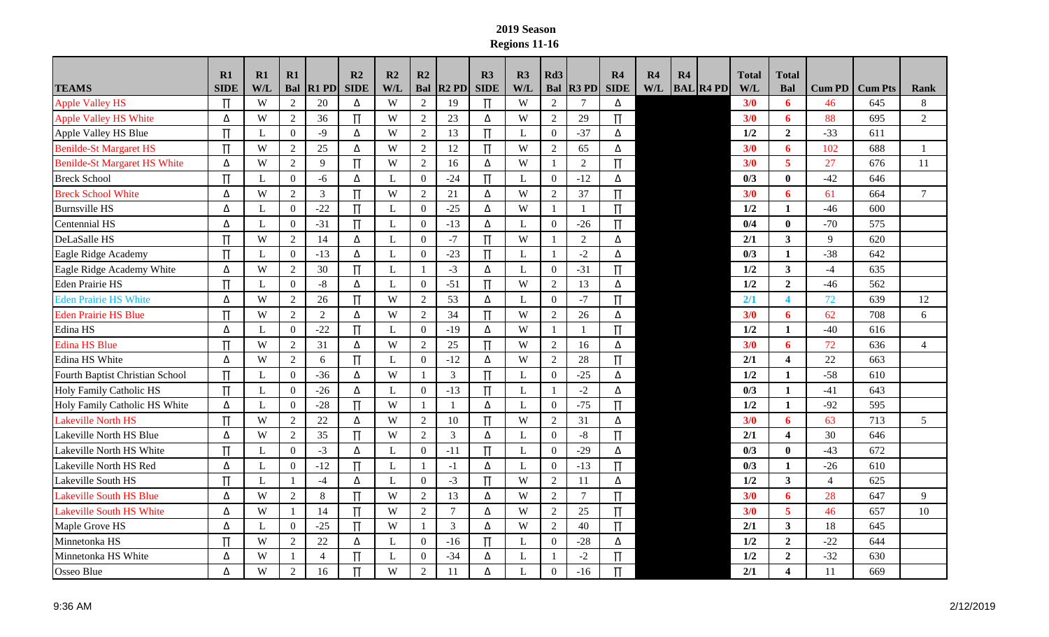## **2019 Season Regions 11-16**

|                                     | $\mathbf{R}1$ | R1  | R1               |                  | R2               | R2  | R2             |                | R3          | R3           | Rd <sub>3</sub> |                | $\mathbf{R}4$ | R <sub>4</sub> | R4 |                  | <b>Total</b> | <b>Total</b>            |                |                |                |
|-------------------------------------|---------------|-----|------------------|------------------|------------------|-----|----------------|----------------|-------------|--------------|-----------------|----------------|---------------|----------------|----|------------------|--------------|-------------------------|----------------|----------------|----------------|
| <b>TEAMS</b>                        | <b>SIDE</b>   | W/L |                  | <b>Bal R1 PD</b> | <b>SIDE</b>      | W/L |                | Bal $ R2$ PD   | <b>SIDE</b> | W/L          | Bal             | $R3$ PD        | <b>SIDE</b>   | W/L            |    | <b>BAL R4 PD</b> | <b>W/L</b>   | Bal                     | <b>Cum PD</b>  | <b>Cum Pts</b> | <b>Rank</b>    |
| <b>Apple Valley HS</b>              | $\Pi$         | W   | 2                | 20               | Δ                | W   | $\mathfrak{2}$ | 19             | $\Pi$       | W            | 2               | $\tau$         | Δ             |                |    |                  | 3/0          | 6                       | 46             | 645            | 8              |
| Apple Valley HS White               | Δ             | W   | $\overline{2}$   | 36               | $\Pi$            | W   | $\overline{2}$ | 23             | Δ           | W            | $\overline{2}$  | 29             | $\Pi$         |                |    |                  | 3/0          | 6                       | 88             | 695            | $\overline{2}$ |
| Apple Valley HS Blue                | $\Pi$         | L   | $\overline{0}$   | $-9$             | Δ                | W   | $\overline{2}$ | 13             | $\Pi$       | L            | $\Omega$        | $-37$          | Δ             |                |    |                  | 1/2          | $\overline{2}$          | $-33$          | 611            |                |
| <b>Benilde-St Margaret HS</b>       | $\Pi$         | W   | 2                | 25               | Δ                | W   | $\overline{2}$ | 12             | $\Pi$       | W            | 2               | 65             | Δ             |                |    |                  | 3/0          | 6                       | 102            | 688            | $\overline{1}$ |
| <b>Benilde-St Margaret HS White</b> | Δ             | W   | 2                | 9                | $\Pi$            | W   | $\overline{2}$ | 16             | Δ           | W            | -1              | $\overline{2}$ | $\Pi$         |                |    |                  | 3/0          | 5                       | 27             | 676            | 11             |
| <b>Breck School</b>                 | Π             | L   | $\overline{0}$   | $-6$             | Δ                | L   | $\overline{0}$ | $-24$          | $\Pi$       | L            | $\overline{0}$  | $-12$          | Δ             |                |    |                  | 0/3          | $\mathbf{0}$            | $-42$          | 646            |                |
| <b>Breck School White</b>           | Δ             | W   | $\overline{2}$   | 3                | $\Pi$            | W   | $\overline{2}$ | 21             | Δ           | W            | 2               | 37             | Π             |                |    |                  | 3/0          | 6                       | 61             | 664            | $\tau$         |
| <b>Burnsville HS</b>                | Δ             | L   | $\overline{0}$   | $-22$            | $\Pi$            | L   | $\Omega$       | $-25$          | Δ           | W            | -1              | $\mathbf{1}$   | $\Pi$         |                |    |                  | 1/2          | 1                       | $-46$          | 600            |                |
| Centennial HS                       | Δ             | L   | $\overline{0}$   | $-31$            | $\Pi$            | L   | $\overline{0}$ | $-13$          | Δ           | L            | $\overline{0}$  | $-26$          | $\Pi$         |                |    |                  | 0/4          | $\bf{0}$                | $-70$          | 575            |                |
| DeLaSalle HS                        |               | W   | $\sqrt{2}$       | 14               | Δ                | L   | $\overline{0}$ | $-7$           | $\Pi$       | W            |                 | 2              | Δ             |                |    |                  | 2/1          | 3                       | 9              | 620            |                |
| Eagle Ridge Academy                 | $\Pi$         | L   | $\overline{0}$   | $-13$            | Δ                | L   | $\overline{0}$ | $-23$          | $\Pi$       | L            | $\mathbf{1}$    | $-2$           | Δ             |                |    |                  | 0/3          | 1                       | $-38$          | 642            |                |
| Eagle Ridge Academy White           | Δ             | W   | $\overline{2}$   | 30               | $\Pi$            | L   | $\mathbf{1}$   | $-3$           | Δ           | L            | $\Omega$        | $-31$          | $\Pi$         |                |    |                  | 1/2          | $\overline{\mathbf{3}}$ | $-4$           | 635            |                |
| <b>Eden Prairie HS</b>              | Π             | L   | $\overline{0}$   | $-8$             | Δ                | L   | $\overline{0}$ | $-51$          | $\Pi$       | W            | 2               | 13             | Δ             |                |    |                  | 1/2          | $\overline{2}$          | -46            | 562            |                |
| <b>Eden Prairie HS White</b>        | Δ             | W   | 2                | 26               | $\Pi$            | W   | $\overline{2}$ | 53             | Δ           | L            | $\mathbf{0}$    | $-7$           | Π             |                |    |                  | 2/1          | $\blacktriangleleft$    | 72             | 639            | 12             |
| <b>Eden Prairie HS Blue</b>         | Π             | W   | 2                | $\overline{2}$   | Δ                | W   | $\overline{2}$ | 34             | $\Pi$       | W            | $\overline{2}$  | 26             | Δ             |                |    |                  | 3/0          | 6                       | 62             | 708            | 6              |
| Edina HS                            | Δ             | L   | $\overline{0}$   | $-22$            | $\overline{\Pi}$ | L   | $\overline{0}$ | $-19$          | Δ           | W            | -1              | -1             | $\Pi$         |                |    |                  | 1/2          | 1                       | $-40$          | 616            |                |
| <b>Edina HS Blue</b>                | Π             | W   | 2                | 31               | Δ                | W   | $\overline{2}$ | 25             | $\Pi$       | W            | $\overline{2}$  | 16             | Δ             |                |    |                  | 3/0          | 6                       | 72             | 636            | $\overline{4}$ |
| Edina HS White                      | Δ             | W   | 2                | 6                | $\Pi$            | L   | $\overline{0}$ | $-12$          | Δ           | W            | $\overline{2}$  | 28             | $\Pi$         |                |    |                  | 2/1          | $\overline{\mathbf{4}}$ | 22             | 663            |                |
| Fourth Baptist Christian School     | Π             | L   | $\boldsymbol{0}$ | $-36$            | Δ                | W   | -1             | 3              | $\Pi$       | $\mathbf{L}$ | $\Omega$        | $-25$          | Δ             |                |    |                  | 1/2          | 1                       | $-58$          | 610            |                |
| <b>Holy Family Catholic HS</b>      | $\Pi$         | L   | $\overline{0}$   | $-26$            | Δ                | L   | $\overline{0}$ | $-13$          | $\Pi$       | L            |                 | $-2$           | Δ             |                |    |                  | 0/3          | 1                       | -41            | 643            |                |
| Holy Family Catholic HS White       | Δ             | L   | $\boldsymbol{0}$ | $-28$            | $\Pi$            | W   |                | $\mathbf{1}$   | Δ           | L            | $\Omega$        | $-75$          | $\Pi$         |                |    |                  | 1/2          | $\mathbf{1}$            | $-92$          | 595            |                |
| <b>Lakeville North HS</b>           | Π             | W   | $\overline{2}$   | 22               | Δ                | W   | 2              | 10             | $\Pi$       | W            | $\overline{2}$  | 31             | Δ             |                |    |                  | 3/0          | 6                       | 63             | 713            | 5              |
| Lakeville North HS Blue             | Δ             | W   | 2                | 35               | $\prod$          | W   | $\overline{2}$ | $\mathfrak{Z}$ | Δ           | L            | $\overline{0}$  | $-8$           | $\Pi$         |                |    |                  | 2/1          | $\overline{\mathbf{4}}$ | 30             | 646            |                |
| Lakeville North HS White            | Π             | L   | $\overline{0}$   | $-3$             | Δ                | L   | $\overline{0}$ | $-11$          | $\Pi$       | L            | $\overline{0}$  | $-29$          | Δ             |                |    |                  | 0/3          | $\mathbf{0}$            | $-43$          | 672            |                |
| Lakeville North HS Red              | Δ             | L   | $\boldsymbol{0}$ | $-12$            | $\Pi$            | L   | $\overline{1}$ | $-1$           | Δ           | L            | $\Omega$        | $-13$          | $\Pi$         |                |    |                  | 0/3          | 1                       | $-26$          | 610            |                |
| Lakeville South HS                  | Π             | L   | -1               | $-4$             | Δ                | L   | $\Omega$       | $-3$           | $\Pi$       | W            | $\overline{2}$  | 11             | Δ             |                |    |                  | 1/2          | $\mathbf{3}$            | $\overline{4}$ | 625            |                |
| <b>Lakeville South HS Blue</b>      | Δ             | W   | $\overline{2}$   | 8                | $\Pi$            | W   | $\overline{2}$ | 13             | Δ           | W            | $\overline{2}$  | $\overline{7}$ | $\Pi$         |                |    |                  | 3/0          | 6                       | 28             | 647            | 9              |
| <b>Lakeville South HS White</b>     | Δ             | W   | -1               | 14               | $\Pi$            | W   | $\overline{2}$ | 7              | Δ           | W            | $\overline{c}$  | 25             | $\Pi$         |                |    |                  | 3/0          | 5                       | 46             | 657            | 10             |
| Maple Grove HS                      | Δ             | L   | $\overline{0}$   | $-25$            | $\Pi$            | W   | $\mathbf{1}$   | 3              | Δ           | W            | $\overline{2}$  | 40             | $\Pi$         |                |    |                  | 2/1          | $\mathbf{3}$            | 18             | 645            |                |
| Minnetonka HS                       | Π             | W   | 2                | 22               | Δ                | L   | $\overline{0}$ | $-16$          | $\Pi$       | L            | $\theta$        | $-28$          | Δ             |                |    |                  | 1/2          | $\overline{2}$          | $-22$          | 644            |                |
| Minnetonka HS White                 | Δ             | W   | -1               | $\overline{4}$   | $\Pi$            | L   | $\overline{0}$ | $-34$          | Δ           | L            |                 | $-2$           | Π             |                |    |                  | 1/2          | $\overline{2}$          | $-32$          | 630            |                |
| Osseo Blue                          | Δ             | W   | $\overline{2}$   | 16               | $\Pi$            | W   | 2              | 11             | Δ           | L            | $\Omega$        | $-16$          | Π             |                |    |                  | 2/1          | $\overline{\mathbf{4}}$ | 11             | 669            |                |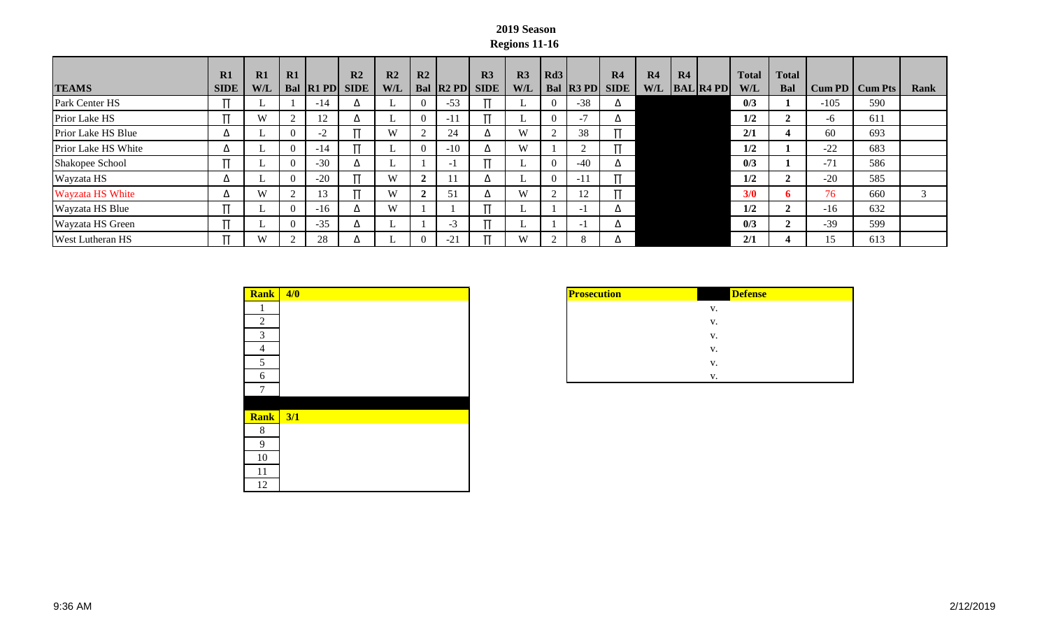## **2019 Season Regions 11-16**

| <b>TEAMS</b>            | R1<br><b>SIDE</b> | R1<br><b>W/L</b> | R1        | Bal R1 PD | R <sub>2</sub><br><b>SIDE</b> | R <sub>2</sub><br><b>W/L</b> | R2                |                | R <sub>3</sub><br>Bal R2 PD SIDE | R3<br>W/L | $\vert$ Rd3 | Bal R3 PD | R <sub>4</sub><br><b>SIDE</b> | R4<br>W/L | R4 | $\vert$ <b>BAL</b> $\vert$ <b>R4 PD</b> $\vert$ | <b>Total</b><br>W/L | <b>Total</b><br><b>Bal</b> |        | Cum PD   Cum Pts | Rank |
|-------------------------|-------------------|------------------|-----------|-----------|-------------------------------|------------------------------|-------------------|----------------|----------------------------------|-----------|-------------|-----------|-------------------------------|-----------|----|-------------------------------------------------|---------------------|----------------------------|--------|------------------|------|
| Park Center HS          |                   |                  |           | $-14$     |                               |                              | $\Omega$          | $-53$          |                                  |           | 0           | $-38$     | Δ                             |           |    |                                                 | 0/3                 |                            | $-105$ | 590              |      |
| Prior Lake HS           |                   | W                | $\bigcap$ | 12        |                               |                              | $\theta$          | $-11$          |                                  |           | $\theta$    | $-1$      | Δ                             |           |    |                                                 | 1/2                 |                            | -6     | 611              |      |
| Prior Lake HS Blue      | Δ                 |                  | $\Omega$  |           |                               | W                            | $\Omega$          | 24             | Δ                                | W         |             | 38        |                               |           |    |                                                 | 2/1                 | 4                          | 60     | 693              |      |
| Prior Lake HS White     | Δ                 |                  | $\theta$  | $-14$     |                               |                              | $\theta$          | $-10$          | Δ                                | W         |             |           |                               |           |    |                                                 | 1/2                 |                            | $-22$  | 683              |      |
| Shakopee School         |                   |                  | $\Omega$  | $-30$     | $\Delta$                      |                              |                   |                |                                  |           | $\Omega$    | $-40$     | Δ                             |           |    |                                                 | 0/3                 |                            | $-71$  | 586              |      |
| Wayzata HS              | △                 |                  | $\theta$  | $-20$     |                               | W                            | $\mathbf{\hat{}}$ |                | Δ                                |           | $\Omega$    | $-1.$     | п                             |           |    |                                                 | 1/2                 |                            | $-20$  | 585              |      |
| <b>Wayzata HS White</b> | Δ                 | W                | $\sim$    | 13        |                               | W                            | $\overline{2}$    | 5 <sup>2</sup> | Δ                                | W         | $\sim$      | 12        |                               |           |    |                                                 | 3/0                 |                            | 76     | 660              |      |
| Wayzata HS Blue         |                   |                  | $\Omega$  | $-16$     |                               | W                            |                   |                |                                  |           |             | $-1$      | Δ                             |           |    |                                                 | 1/2                 |                            | $-16$  | 632              |      |
| Wayzata HS Green        |                   |                  | $\theta$  | $-35$     | $\Delta$                      |                              |                   | -1             |                                  |           |             | $-1$      | Δ                             |           |    |                                                 | 0/3                 |                            | $-39$  | 599              |      |
| <b>West Lutheran HS</b> |                   | W                | $\bigcap$ | 28        |                               |                              | $\Omega$          | $-21$          |                                  | W         |             | $\Delta$  | Δ                             |           |    |                                                 | 2/1                 |                            |        | 613              |      |

| <b>Rank</b>    | 4/0 |
|----------------|-----|
|                |     |
| 2              |     |
| 3              |     |
| $\overline{4}$ |     |
| 5 <sup>5</sup> |     |
| 6              |     |
| $\overline{7}$ |     |
|                |     |
| <b>Rank</b>    | 3/1 |
| 8              |     |
| 9              |     |
| 10             |     |
| 11             |     |
| 12             |     |

| <b>Prosecution</b> | <b>Defense</b> |
|--------------------|----------------|
|                    | V.             |
|                    | v.             |
|                    | V.             |
|                    | V.             |
|                    | v.             |
|                    | V              |